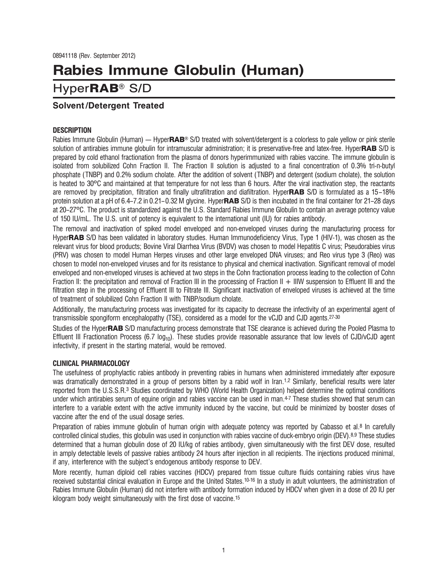## **Rabies Immune Globulin (Human)**

### Hyper**RAB®** S/D

#### **Solvent/Detergent Treated**

#### **DESCRIPTION**

Rabies Immune Globulin (Human) — Hyper**RAB®** S/D treated with solvent/detergent is a colorless to pale yellow or pink sterile solution of antirabies immune globulin for intramuscular administration; it is preservative-free and latex-free. Hyper**RAB** S/D is prepared by cold ethanol fractionation from the plasma of donors hyperimmunized with rabies vaccine. The immune globulin is isolated from solubilized Cohn Fraction II. The Fraction II solution is adjusted to a final concentration of 0.3% tri-n-butyl phosphate (TNBP) and 0.2% sodium cholate. After the addition of solvent (TNBP) and detergent (sodium cholate), the solution is heated to 30°C and maintained at that temperature for not less than 6 hours. After the viral inactivation step, the reactants are removed by precipitation, filtration and finally ultrafiltration and diafiltration. Hyper**RAB** S/D is formulated as a 15–18% protein solution at a pH of 6.4–7.2 in 0.21–0.32 M glycine. Hyper**RAB** S/D is then incubated in the final container for 21–28 days at 20–27°C. The product is standardized against the U.S. Standard Rabies Immune Globulin to contain an average potency value of 150 IU/mL. The U.S. unit of potency is equivalent to the international unit (IU) for rabies antibody.

The removal and inactivation of spiked model enveloped and non-enveloped viruses during the manufacturing process for Hyper**RAB** S/D has been validated in laboratory studies. Human Immunodeficiency Virus, Type 1 (HIV-1), was chosen as the relevant virus for blood products; Bovine Viral Diarrhea Virus (BVDV) was chosen to model Hepatitis C virus; Pseudorabies virus (PRV) was chosen to model Human Herpes viruses and other large enveloped DNA viruses; and Reo virus type 3 (Reo) was chosen to model non-enveloped viruses and for its resistance to physical and chemical inactivation. Significant removal of model enveloped and non-enveloped viruses is achieved at two steps in the Cohn fractionation process leading to the collection of Cohn Fraction II: the precipitation and removal of Fraction III in the processing of Fraction II + IIIW suspension to Effluent III and the filtration step in the processing of Effluent III to Filtrate III. Significant inactivation of enveloped viruses is achieved at the time of treatment of solubilized Cohn Fraction II with TNBP/sodium cholate.

Additionally, the manufacturing process was investigated for its capacity to decrease the infectivity of an experimental agent of transmissible spongiform encephalopathy (TSE), considered as a model for the vCJD and CJD agents.27-30

Studies of the Hyper**RAB** S/D manufacturing process demonstrate that TSE clearance is achieved during the Pooled Plasma to Effluent III Fractionation Process (6.7  $log_{10}$ ). These studies provide reasonable assurance that low levels of CJD/vCJD agent infectivity, if present in the starting material, would be removed.

#### **CLINICAL PHARMACOLOGY**

The usefulness of prophylactic rabies antibody in preventing rabies in humans when administered immediately after exposure was dramatically demonstrated in a group of persons bitten by a rabid wolf in Iran.<sup>1,2</sup> Similarly, beneficial results were later reported from the U.S.S.R.3 Studies coordinated by WHO (World Health Organization) helped determine the optimal conditions under which antirabies serum of equine origin and rabies vaccine can be used in man.<sup>4-7</sup> These studies showed that serum can interfere to a variable extent with the active immunity induced by the vaccine, but could be minimized by booster doses of vaccine after the end of the usual dosage series.

Preparation of rabies immune globulin of human origin with adequate potency was reported by Cabasso et al.8 In carefully controlled clinical studies, this globulin was used in conjunction with rabies vaccine of duck-embryo origin (DEV).8,9 These studies determined that a human globulin dose of 20 IU/kg of rabies antibody, given simultaneously with the first DEV dose, resulted in amply detectable levels of passive rabies antibody 24 hours after injection in all recipients. The injections produced minimal, if any, interference with the subject's endogenous antibody response to DEV.

More recently, human diploid cell rabies vaccines (HDCV) prepared from tissue culture fluids containing rabies virus have received substantial clinical evaluation in Europe and the United States.10-16 In a study in adult volunteers, the administration of Rabies Immune Globulin (Human) did not interfere with antibody formation induced by HDCV when given in a dose of 20 IU per kilogram body weight simultaneously with the first dose of vaccine.15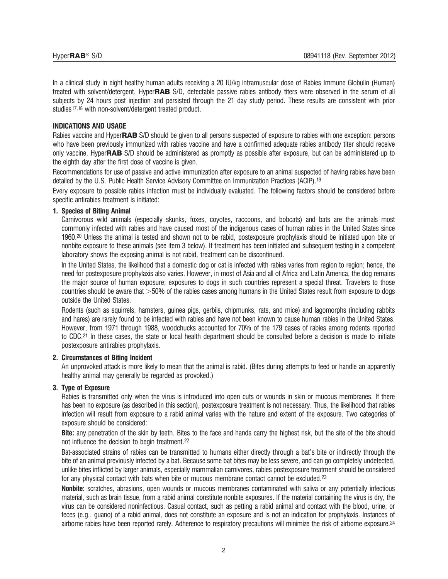In a clinical study in eight healthy human adults receiving a 20 IU/kg intramuscular dose of Rabies Immune Globulin (Human) treated with solvent/detergent, Hyper**RAB** S/D, detectable passive rabies antibody titers were observed in the serum of all subjects by 24 hours post injection and persisted through the 21 day study period. These results are consistent with prior studies<sup>17,18</sup> with non-solvent/detergent treated product.

#### **INDICATIONS AND USAGE**

Rabies vaccine and Hyper**RAB** S/D should be given to all persons suspected of exposure to rabies with one exception: persons who have been previously immunized with rabies vaccine and have a confirmed adequate rabies antibody titer should receive only vaccine. Hyper**RAB** S/D should be administered as promptly as possible after exposure, but can be administered up to the eighth day after the first dose of vaccine is given.

Recommendations for use of passive and active immunization after exposure to an animal suspected of having rabies have been detailed by the U.S. Public Health Service Advisory Committee on Immunization Practices (ACIP).19

Every exposure to possible rabies infection must be individually evaluated. The following factors should be considered before specific antirabies treatment is initiated:

#### **1. Species of Biting Animal**

Carnivorous wild animals (especially skunks, foxes, coyotes, raccoons, and bobcats) and bats are the animals most commonly infected with rabies and have caused most of the indigenous cases of human rabies in the United States since 1960.20 Unless the animal is tested and shown not to be rabid, postexposure prophylaxis should be initiated upon bite or nonbite exposure to these animals (see item 3 below). If treatment has been initiated and subsequent testing in a competent laboratory shows the exposing animal is not rabid, treatment can be discontinued.

In the United States, the likelihood that a domestic dog or cat is infected with rabies varies from region to region; hence, the need for postexposure prophylaxis also varies. However, in most of Asia and all of Africa and Latin America, the dog remains the major source of human exposure; exposures to dogs in such countries represent a special threat. Travelers to those countries should be aware that  $>50%$  of the rabies cases among humans in the United States result from exposure to dogs outside the United States.

Rodents (such as squirrels, hamsters, guinea pigs, gerbils, chipmunks, rats, and mice) and lagomorphs (including rabbits and hares) are rarely found to be infected with rabies and have not been known to cause human rabies in the United States. However, from 1971 through 1988, woodchucks accounted for 70% of the 179 cases of rabies among rodents reported to CDC.21 In these cases, the state or local health department should be consulted before a decision is made to initiate postexposure antirabies prophylaxis.

#### **2. Circumstances of Biting Incident**

An unprovoked attack is more likely to mean that the animal is rabid. (Bites during attempts to feed or handle an apparently healthy animal may generally be regarded as provoked.)

#### **3. Type of Exposure**

Rabies is transmitted only when the virus is introduced into open cuts or wounds in skin or mucous membranes. If there has been no exposure (as described in this section), postexposure treatment is not necessary. Thus, the likelihood that rabies infection will result from exposure to a rabid animal varies with the nature and extent of the exposure. Two categories of exposure should be considered:

**Bite:** any penetration of the skin by teeth. Bites to the face and hands carry the highest risk, but the site of the bite should not influence the decision to begin treatment.22

Bat-associated strains of rabies can be transmitted to humans either directly through a bat's bite or indirectly through the bite of an animal previously infected by a bat. Because some bat bites may be less severe, and can go completely undetected, unlike bites inflicted by larger animals, especially mammalian carnivores, rabies postexposure treatment should be considered for any physical contact with bats when bite or mucous membrane contact cannot be excluded.<sup>23</sup>

**Nonbite:** scratches, abrasions, open wounds or mucous membranes contaminated with saliva or any potentially infectious material, such as brain tissue, from a rabid animal constitute nonbite exposures. If the material containing the virus is dry, the virus can be considered noninfectious. Casual contact, such as petting a rabid animal and contact with the blood, urine, or feces (e.g., guano) of a rabid animal, does not constitute an exposure and is not an indication for prophylaxis. Instances of airborne rabies have been reported rarely. Adherence to respiratory precautions will minimize the risk of airborne exposure.<sup>24</sup>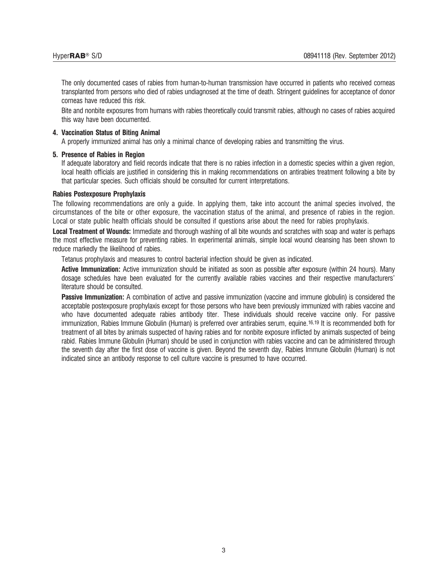The only documented cases of rabies from human-to-human transmission have occurred in patients who received corneas transplanted from persons who died of rabies undiagnosed at the time of death. Stringent guidelines for acceptance of donor corneas have reduced this risk.

Bite and nonbite exposures from humans with rabies theoretically could transmit rabies, although no cases of rabies acquired this way have been documented.

#### **4. Vaccination Status of Biting Animal**

A properly immunized animal has only a minimal chance of developing rabies and transmitting the virus.

#### **5. Presence of Rabies in Region**

If adequate laboratory and field records indicate that there is no rabies infection in a domestic species within a given region, local health officials are justified in considering this in making recommendations on antirabies treatment following a bite by that particular species. Such officials should be consulted for current interpretations.

#### **Rabies Postexposure Prophylaxis**

The following recommendations are only a guide. In applying them, take into account the animal species involved, the circumstances of the bite or other exposure, the vaccination status of the animal, and presence of rabies in the region. Local or state public health officials should be consulted if questions arise about the need for rabies prophylaxis.

**Local Treatment of Wounds:** Immediate and thorough washing of all bite wounds and scratches with soap and water is perhaps the most effective measure for preventing rabies. In experimental animals, simple local wound cleansing has been shown to reduce markedly the likelihood of rabies.

Tetanus prophylaxis and measures to control bacterial infection should be given as indicated.

**Active Immunization:** Active immunization should be initiated as soon as possible after exposure (within 24 hours). Many dosage schedules have been evaluated for the currently available rabies vaccines and their respective manufacturers' literature should be consulted.

**Passive Immunization:** A combination of active and passive immunization (vaccine and immune globulin) is considered the acceptable postexposure prophylaxis except for those persons who have been previously immunized with rabies vaccine and who have documented adequate rabies antibody titer. These individuals should receive vaccine only. For passive immunization, Rabies Immune Globulin (Human) is preferred over antirabies serum, equine.16,19 It is recommended both for treatment of all bites by animals suspected of having rabies and for nonbite exposure inflicted by animals suspected of being rabid. Rabies Immune Globulin (Human) should be used in conjunction with rabies vaccine and can be administered through the seventh day after the first dose of vaccine is given. Beyond the seventh day, Rabies Immune Globulin (Human) is not indicated since an antibody response to cell culture vaccine is presumed to have occurred.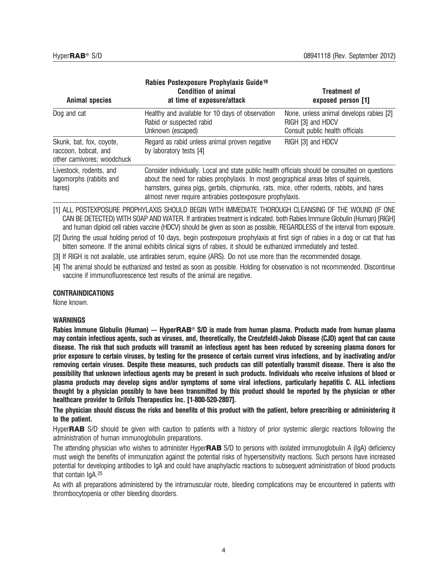| <b>Animal species</b>                                                           | Rabies Postexposure Prophylaxis Guide <sup>19</sup><br><b>Condition of animal</b><br>at time of exposure/attack                                                                                                                                                                                                                                   | <b>Treatment of</b><br>exposed person [1]                                                       |
|---------------------------------------------------------------------------------|---------------------------------------------------------------------------------------------------------------------------------------------------------------------------------------------------------------------------------------------------------------------------------------------------------------------------------------------------|-------------------------------------------------------------------------------------------------|
| Dog and cat                                                                     | Healthy and available for 10 days of observation<br>Rabid or suspected rabid<br>Unknown (escaped)                                                                                                                                                                                                                                                 | None, unless animal develops rabies [2]<br>RIGH [3] and HDCV<br>Consult public health officials |
| Skunk, bat, fox, coyote,<br>raccoon, bobcat, and<br>other carnivores; woodchuck | Regard as rabid unless animal proven negative<br>by laboratory tests [4]                                                                                                                                                                                                                                                                          | RIGH [3] and HDCV                                                                               |
| Livestock, rodents, and<br>lagomorphs (rabbits and<br>hares)                    | Consider individually. Local and state public health officials should be consulted on questions<br>about the need for rabies prophylaxis. In most geographical areas bites of squirrels,<br>hamsters, guinea pigs, gerbils, chipmunks, rats, mice, other rodents, rabbits, and hares<br>almost never require antirabies postexposure prophylaxis. |                                                                                                 |

[1] ALL POSTEXPOSURE PROPHYLAXIS SHOULD BEGIN WITH IMMEDIATE THOROUGH CLEANSING OF THE WOUND (IF ONE CAN BE DETECTED) WITH SOAP AND WATER. If antirabies treatment is indicated, both Rabies Immune Globulin (Human) [RIGH] and human diploid cell rabies vaccine (HDCV) should be given as soon as possible, REGARDLESS of the interval from exposure.

[2] During the usual holding period of 10 days, begin postexposure prophylaxis at first sign of rabies in a dog or cat that has bitten someone. If the animal exhibits clinical signs of rabies, it should be euthanized immediately and tested.

[3] If RIGH is not available, use antirabies serum, equine (ARS). Do not use more than the recommended dosage.

[4] The animal should be euthanized and tested as soon as possible. Holding for observation is not recommended. Discontinue vaccine if immunofluorescence test results of the animal are negative.

#### **CONTRAINDICATIONS**

None known.

#### **WARNINGS**

Rabies Immune Globulin (Human) — HyperRAB<sup>®</sup> S/D is made from human plasma. Products made from human plasma may contain infectious agents, such as viruses, and, theoretically, the Creutzfeldt-Jakob Disease (CJD) agent that can cause disease. The risk that such products will transmit an infectious agent has been reduced by screening plasma donors for prior exposure to certain viruses, by testing for the presence of certain current virus infections, and by inactivating and/or removing certain viruses. Despite these measures, such products can still potentially transmit disease. There is also the possibility that unknown infectious agents may be present in such products. Individuals who receive infusions of blood or plasma products may develop signs and/or symptoms of some viral infections, particularly hepatitis C. ALL infections thought by a physician possibly to have been transmitted by this product should be reported by the physician or other **healthcare provider to Grifols Therapeutics Inc. [1-800-520-2807].**

The physician should discuss the risks and benefits of this product with the patient, before prescribing or administering it **to the patient.**

Hyper**RAB** S/D should be given with caution to patients with a history of prior systemic allergic reactions following the administration of human immunoglobulin preparations.

The attending physician who wishes to administer Hyper**RAB** S/D to persons with isolated immunoglobulin A (IgA) deficiency must weigh the benefits of immunization against the potential risks of hypersensitivity reactions. Such persons have increased potential for developing antibodies to IgA and could have anaphylactic reactions to subsequent administration of blood products that contain IgA.25

As with all preparations administered by the intramuscular route, bleeding complications may be encountered in patients with thrombocytopenia or other bleeding disorders.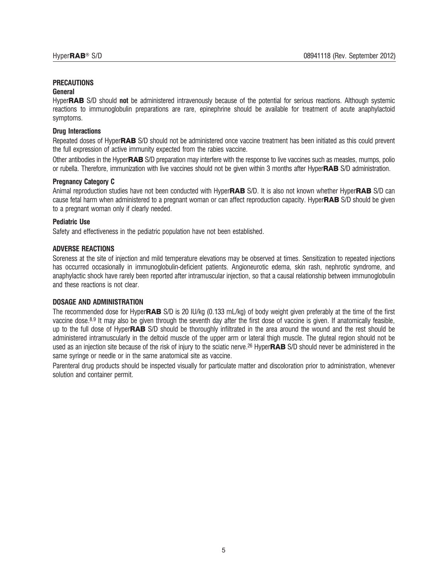#### **PRECAUTIONS**

#### **General**

Hyper**RAB** S/D should **not** be administered intravenously because of the potential for serious reactions. Although systemic reactions to immunoglobulin preparations are rare, epinephrine should be available for treatment of acute anaphylactoid symptoms.

#### **Drug Interactions**

Repeated doses of Hyper**RAB** S/D should not be administered once vaccine treatment has been initiated as this could prevent the full expression of active immunity expected from the rabies vaccine.

Other antibodies in the Hyper**RAB** S/D preparation may interfere with the response to live vaccines such as measles, mumps, polio or rubella. Therefore, immunization with live vaccines should not be given within 3 months after Hyper**RAB** S/D administration.

#### **Pregnancy Category C**

Animal reproduction studies have not been conducted with Hyper**RAB** S/D. It is also not known whether Hyper**RAB** S/D can cause fetal harm when administered to a pregnant woman or can affect reproduction capacity. Hyper**RAB** S/D should be given to a pregnant woman only if clearly needed.

#### **Pediatric Use**

Safety and effectiveness in the pediatric population have not been established.

#### **ADVERSE REACTIONS**

Soreness at the site of injection and mild temperature elevations may be observed at times. Sensitization to repeated injections has occurred occasionally in immunoglobulin-deficient patients. Angioneurotic edema, skin rash, nephrotic syndrome, and anaphylactic shock have rarely been reported after intramuscular injection, so that a causal relationship between immunoglobulin and these reactions is not clear.

#### **DOSAGE AND ADMINISTRATION**

The recommended dose for Hyper**RAB** S/D is 20 IU/kg (0.133 mL/kg) of body weight given preferably at the time of the first vaccine dose.8,9 It may also be given through the seventh day after the first dose of vaccine is given. If anatomically feasible, up to the full dose of Hyper**RAB** S/D should be thoroughly infiltrated in the area around the wound and the rest should be administered intramuscularly in the deltoid muscle of the upper arm or lateral thigh muscle. The gluteal region should not be used as an injection site because of the risk of injury to the sciatic nerve.26 Hyper**RAB** S/D should never be administered in the same syringe or needle or in the same anatomical site as vaccine.

Parenteral drug products should be inspected visually for particulate matter and discoloration prior to administration, whenever solution and container permit.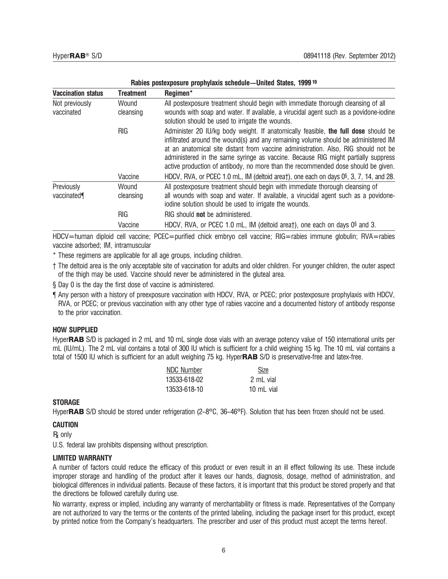| Rabies postexposure prophylaxis schedule-United States, 1999 <sup>19</sup> |                    |                                                                                                                                                                                                                                                                                                                                                                                                                                          |  |
|----------------------------------------------------------------------------|--------------------|------------------------------------------------------------------------------------------------------------------------------------------------------------------------------------------------------------------------------------------------------------------------------------------------------------------------------------------------------------------------------------------------------------------------------------------|--|
| <b>Vaccination status</b>                                                  | <b>Treatment</b>   | Regimen*                                                                                                                                                                                                                                                                                                                                                                                                                                 |  |
| Not previously<br>vaccinated                                               | Wound<br>cleansing | All postexposure treatment should begin with immediate thorough cleansing of all<br>wounds with soap and water. If available, a virucidal agent such as a povidone-iodine<br>solution should be used to irrigate the wounds.                                                                                                                                                                                                             |  |
|                                                                            | <b>RIG</b>         | Administer 20 IU/kg body weight. If anatomically feasible, the full dose should be<br>infiltrated around the wound(s) and any remaining volume should be administered IM<br>at an anatomical site distant from vaccine administration. Also, RIG should not be<br>administered in the same syringe as vaccine. Because RIG might partially suppress<br>active production of antibody, no more than the recommended dose should be given. |  |
|                                                                            | Vaccine            | HDCV, RVA, or PCEC 1.0 mL, IM (deltoid area†), one each on days 0\$, 3, 7, 14, and 28.                                                                                                                                                                                                                                                                                                                                                   |  |
| Previously<br>vaccinated                                                   | Wound<br>cleansing | All postexposure treatment should begin with immediate thorough cleansing of<br>all wounds with soap and water. If available, a virucidal agent such as a povidone-<br>iodine solution should be used to irrigate the wounds.                                                                                                                                                                                                            |  |
|                                                                            | RIG                | RIG should not be administered.                                                                                                                                                                                                                                                                                                                                                                                                          |  |
|                                                                            | Vaccine            | HDCV, RVA, or PCEC 1.0 mL, IM (deltoid area†), one each on days 0 <sup>§</sup> and 3.                                                                                                                                                                                                                                                                                                                                                    |  |

HDCV=human diploid cell vaccine; PCEC=purified chick embryo cell vaccine; RIG=rabies immune globulin; RVA=rabies vaccine adsorbed; IM, intramuscular

\* These regimens are applicable for all age groups, including children.

† The deltoid area is the only acceptable site of vaccination for adults and older children. For younger children, the outer aspect of the thigh may be used. Vaccine should never be administered in the gluteal area.

§ Day 0 is the day the first dose of vaccine is administered.

¶ Any person with a history of preexposure vaccination with HDCV, RVA, or PCEC; prior postexposure prophylaxis with HDCV, RVA, or PCEC; or previous vaccination with any other type of rabies vaccine and a documented history of antibody response to the prior vaccination.

#### **HOW SUPPLIED**

Hyper**RAB** S/D is packaged in 2 mL and 10 mL single dose vials with an average potency value of 150 international units per mL (IU/mL). The 2 mL vial contains a total of 300 IU which is sufficient for a child weighing 15 kg. The 10 mL vial contains a total of 1500 IU which is sufficient for an adult weighing 75 kg. Hyper**RAB** S/D is preservative-free and latex-free.

| NDC Number   | Size       |
|--------------|------------|
| 13533-618-02 | 2 ml vial  |
| 13533-618-10 | 10 ml vial |

#### **STORAGE**

Hyper**RAB** S/D should be stored under refrigeration (2–8°C, 36–46°F). Solution that has been frozen should not be used.

#### **CAUTION**

R<sub>b</sub> only

U.S. federal law prohibits dispensing without prescription.

#### **LIMITED WARRANTY**

A number of factors could reduce the efficacy of this product or even result in an ill effect following its use. These include improper storage and handling of the product after it leaves our hands, diagnosis, dosage, method of administration, and biological differences in individual patients. Because of these factors, it is important that this product be stored properly and that the directions be followed carefully during use.

No warranty, express or implied, including any warranty of merchantability or fitness is made. Representatives of the Company are not authorized to vary the terms or the contents of the printed labeling, including the package insert for this product, except by printed notice from the Company's headquarters. The prescriber and user of this product must accept the terms hereof.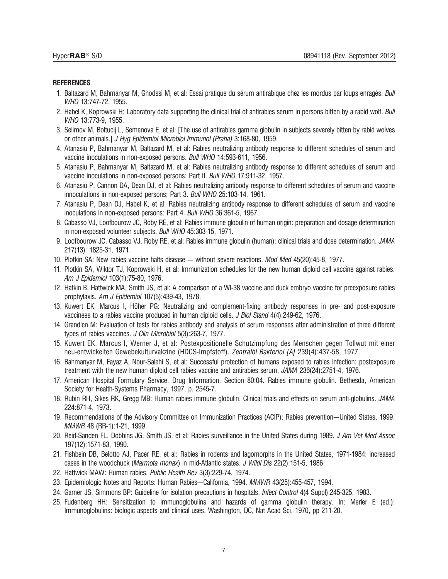#### **REFERENCES**

- 1. Baltazard M, Bahmanyar M, Ghodssi M, et al: Essai pratique du sérum antirabique chez les mordus par loups enragés. *Bull WHO* 13:747-72, 1955.
- 2. Habel K, Koprowski H: Laboratory data supporting the clinical trial of antirabies serum in persons bitten by a rabid wolf. *Bull WHO* 13:773-9, 1955.
- 3. Selimov M, Boltucij L, Semenova E, et al: [The use of antirabies gamma globulin in subjects severely bitten by rabid wolves or other animals.] *J Hyg Epidemiol Microbiol Immunol (Praha)* 3:168-80, 1959.
- 4. Atanasiu P, Bahmanyar M, Baltazard M, et al: Rabies neutralizing antibody response to different schedules of serum and vaccine inoculations in non-exposed persons. *Bull WHO* 14:593-611, 1956.
- 5. Atanasiu P, Bahmanyar M, Baltazard M, et al: Rabies neutralizing antibody response to different schedules of serum and vaccine inoculations in non-exposed persons: Part II. *Bull WHO* 17:911-32, 1957.
- 6. Atanasiu P, Cannon DA, Dean DJ, et al: Rabies neutralizing antibody response to different schedules of serum and vaccine innoculations in non-exposed persons: Part 3. *Bull WHO* 25:103-14, 1961.
- 7. Atanasiu P, Dean DJ, Habel K, et al: Rabies neutralizing antibody response to different schedules of serum and vaccine inoculations in non-exposed persons: Part 4. *Bull WHO* 36:361-5, 1967.
- 8. Cabasso VJ, Loofbourow JC, Roby RE, et al: Rabies immune globulin of human origin: preparation and dosage determination in non-exposed volunteer subjects. *Bull WHO* 45:303-15, 1971.
- 9. Loofbourow JC, Cabasso VJ, Roby RE, et al: Rabies immune globulin (human): clinical trials and dose determination. *JAMA* 217(13): 1825-31, 1971.
- 10. Plotkin SA: New rabies vaccine halts disease without severe reactions. *Mod Med* 45(20):45-8, 1977.
- 11. Plotkin SA, Wiktor TJ, Koprowski H, et al: Immunization schedules for the new human diploid cell vaccine against rabies. *Am J Epidemiol* 103(1):75-80, 1976.
- 12. Hafkin B, Hattwick MA, Smith JS, et al: A comparison of a WI-38 vaccine and duck embryo vaccine for preexposure rabies prophylaxis. *Am J Epidemiol* 107(5):439-43, 1978.
- 13. Kuwert EK, Marcus I, Höher PG: Neutralizing and complement-fixing antibody responses in pre- and post-exposure vaccinees to a rabies vaccine produced in human diploid cells. *J Biol Stand* 4(4):249-62, 1976.
- 14. Grandien M: Evaluation of tests for rabies antibody and analysis of serum responses after administration of three different types of rabies vaccines. *J Clin Microbiol* 5(3):263-7, 1977.
- 15. Kuwert EK, Marcus I, Werner J, et al: Postexpositionelle Schutzimpfung des Menschen gegen Tollwut mit einer neu-entwickelten Gewebekulturvakzine (HDCS-Impfstoff). *Zentralbl Bakteriol [A]* 239(4):437-58, 1977.
- 16. Bahmanyar M, Fayaz A, Nour-Salehi S, et al: Successful protection of humans exposed to rabies infection: postexposure treatment with the new human diploid cell rabies vaccine and antirabies serum. *JAMA* 236(24):2751-4, 1976.
- 17. American Hospital Formulary Service. Drug Information. Section 80:04. Rabies immune globulin. Bethesda, American Society for Health-Systems Pharmacy, 1997, p. 2545-7.
- 18. Rubin RH, Sikes RK, Gregg MB: Human rabies immune globulin. Clinical trials and effects on serum anti-globulins. *JAMA* 224:871-4, 1973.
- 19. Recommendations of the Advisory Committee on Immunization Practices (ACIP): Rabies prevention—United States, 1999. *MMWR* 48 (RR-1):1-21, 1999.
- 20. Reid-Sanden FL, Dobbins JG, Smith JS, et al: Rabies surveillance in the United States during 1989. *J Am Vet Med Assoc* 197(12):1571-83, 1990.
- 21. Fishbein DB, Belotto AJ, Pacer RE, et al: Rabies in rodents and lagomorphs in the United States, 1971-1984: increased cases in the woodchuck (*Marmota monax*) in mid-Atlantic states. *J Wildl Dis* 22(2):151-5, 1986.
- 22. Hattwick MAW: Human rabies. *Public Health Rev* 3(3):229-74, 1974.
- 23. Epidemiologic Notes and Reports: Human Rabies—California, 1994. *MMWR* 43(25):455-457, 1994.
- 24. Garner JS, Simmons BP: Guideline for isolation precautions in hospitals. *Infect Control* 4(4 Suppl):245-325, 1983.
- 25. Fudenberg HH: Sensitization to immunoglobulins and hazards of gamma globulin therapy. In: Merler E (ed.): Immunoglobulins: biologic aspects and clinical uses. Washington, DC, Nat Acad Sci, 1970, pp 211-20.